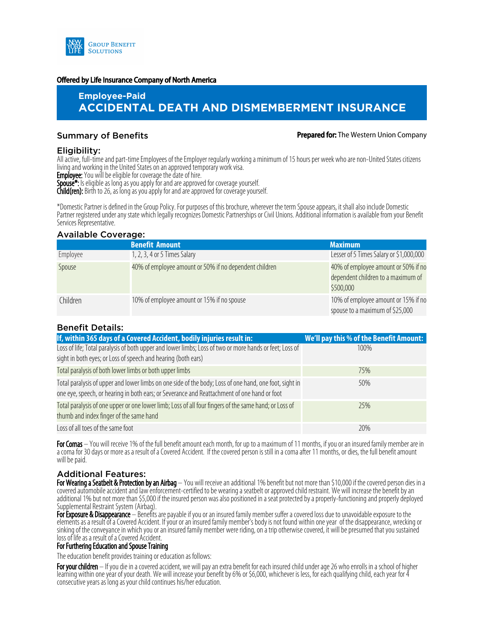

#### Offered by Life Insurance Company of North America

# **Employee-Paid ACCIDENTAL DEATH AND DISMEMBERMENT INSURANCE**

#### **Summary of Benefits Summary of Benefits According to Prepared for: The Western Union Company**

#### Eligibility:

All active, full-time and part-time Employees of the Employer regularly working a minimum of 15 hours per week who are non-United States citizens living and working in the United States on an approved temporary work visa.

**Employee:** You will be eligible for coverage the date of hire.

**Spouse\*:** Is eligible as long as you apply for and are approved for coverage yourself.

**Child(ren):** Birth to 26, as long as you apply for and are approved for coverage yourself.

\*Domestic Partner is defined in the Group Policy. For purposes of this brochure, wherever the term Spouse appears, it shall also include Domestic Partner registered under any state which legally recognizes Domestic Partnerships or Civil Unions. Additional information is available from your Benefit Services Representative.

#### Available Coverage:

|          | <b>Benefit Amount</b>                                  | <b>Maximum</b>                                                                         |
|----------|--------------------------------------------------------|----------------------------------------------------------------------------------------|
| Employee | 1, 2, 3, 4 or 5 Times Salary                           | Lesser of 5 Times Salary or \$1,000,000                                                |
| Spouse   | 40% of employee amount or 50% if no dependent children | 40% of employee amount or 50% if no<br>dependent children to a maximum of<br>\$500,000 |
| Children | 10% of employee amount or 15% if no spouse             | 10% of employee amount or 15% if no<br>spouse to a maximum of \$25,000                 |

### Benefit Details:

| If, within 365 days of a Covered Accident, bodily injuries result in:                                                                                                                                 | We'll pay this % of the Benefit Amount: |
|-------------------------------------------------------------------------------------------------------------------------------------------------------------------------------------------------------|-----------------------------------------|
| Loss of life; Total paralysis of both upper and lower limbs; Loss of two or more hands or feet; Loss of<br>sight in both eyes; or Loss of speech and hearing (both ears)                              | 100%                                    |
| Total paralysis of both lower limbs or both upper limbs                                                                                                                                               | 75%                                     |
| Total paralysis of upper and lower limbs on one side of the body; Loss of one hand, one foot, sight in<br>one eye, speech, or hearing in both ears; or Severance and Reattachment of one hand or foot | 50%                                     |
| Total paralysis of one upper or one lower limb; Loss of all four fingers of the same hand; or Loss of<br>thumb and index finger of the same hand                                                      | 25%                                     |
| Loss of all toes of the same foot                                                                                                                                                                     | 20%                                     |

For Comas – You will receive 1% of the full benefit amount each month, for up to a maximum of 11 months, if you or an insured family member are in a coma for 30 days or more as a result of a Covered Accident. If the covered person is still in a coma after 11 months, or dies, the full benefit amount will be paid.

### Additional Features:

For Wearing a Seatbelt & Protection by an Airbag - You will receive an additional 1% benefit but not more than \$10,000 if the covered person dies in a covered automobile accident and law enforcement-certified to be wearing a seatbelt or approved child restraint. We will increase the benefit by an additional 1% but not more than \$5,000 if the insured person was also positioned in a seat protected by a properly-functioning and properly deployed Supplemental Restraint System (Airbag).

For Exposure & Disappearance – Benefits are payable if you or an insured family member suffer a covered loss due to unavoidable exposure to the elements as a result of a Covered Accident. If your or an insured family member's body is not found within one year of the disappearance, wrecking or sinking of the conveyance in which you or an insured family member were riding, on a trip otherwise covered, it will be presumed that you sustained loss of life as a result of a Covered Accident.

#### For Furthering Education and Spouse Training

The education benefit provides training or education as follows:

For your children – If you die in a covered accident, we will pay an extra benefit for each insured child under age 26 who enrolls in a school of higher learning within one year of your death. We will increase your benefit by 6% or \$6,000, whichever is less, for each qualifying child, each year for 4 consecutive years as long as your child continues his/her education.